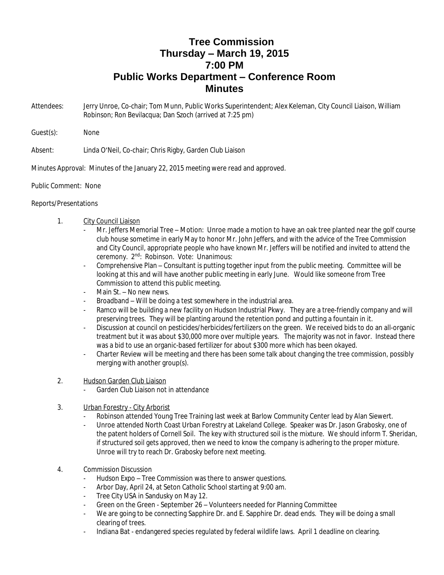## **Tree Commission Thursday – March 19, 2015 7:00 PM Public Works Department – Conference Room Minutes**

- Attendees: Jerry Unroe, Co-chair; Tom Munn, Public Works Superintendent; Alex Keleman, City Council Liaison, William Robinson; Ron Bevilacqua; Dan Szoch (arrived at 7:25 pm)
- Guest(s): None

Absent: Linda O'Neil, Co-chair; Chris Rigby, Garden Club Liaison

Minutes Approval: Minutes of the January 22, 2015 meeting were read and approved.

## Public Comment: None

## Reports/Presentations

## 1. City Council Liaison

- Mr. Jeffers Memorial Tree Motion: Unroe made a motion to have an oak tree planted near the golf course club house sometime in early May to honor Mr. John Jeffers, and with the advice of the Tree Commission and City Council, appropriate people who have known Mr. Jeffers will be notified and invited to attend the ceremony. 2nd: Robinson. Vote: Unanimous:
- Comprehensive Plan Consultant is putting together input from the public meeting. Committee will be looking at this and will have another public meeting in early June. Would like someone from Tree Commission to attend this public meeting.
- Main St. No new news.
- Broadband Will be doing a test somewhere in the industrial area.
- Ramco will be building a new facility on Hudson Industrial Pkwy. They are a tree-friendly company and will preserving trees. They will be planting around the retention pond and putting a fountain in it.
- Discussion at council on pesticides/herbicides/fertilizers on the green. We received bids to do an all-organic treatment but it was about \$30,000 more over multiple years. The majority was not in favor. Instead there was a bid to use an organic-based fertilizer for about \$300 more which has been okayed.
- Charter Review will be meeting and there has been some talk about changing the tree commission, possibly merging with another group(s).
- 2. Hudson Garden Club Liaison
	- Garden Club Liaison not in attendance
- 3. Urban Forestry City Arborist
	- Robinson attended Young Tree Training last week at Barlow Community Center lead by Alan Siewert.
	- Unroe attended North Coast Urban Forestry at Lakeland College. Speaker was Dr. Jason Grabosky, one of the patent holders of Cornell Soil. The key with structured soil is the mixture. We should inform T. Sheridan, if structured soil gets approved, then we need to know the company is adhering to the proper mixture. Unroe will try to reach Dr. Grabosky before next meeting.
- 4. Commission Discussion
	- Hudson Expo Tree Commission was there to answer questions.
	- Arbor Day, April 24, at Seton Catholic School starting at 9:00 am.
	- Tree City USA in Sandusky on May 12.
	- Green on the Green September 26 Volunteers needed for Planning Committee
	- We are going to be connecting Sapphire Dr. and E. Sapphire Dr. dead ends. They will be doing a small clearing of trees.
	- Indiana Bat endangered species regulated by federal wildlife laws. April 1 deadline on clearing.